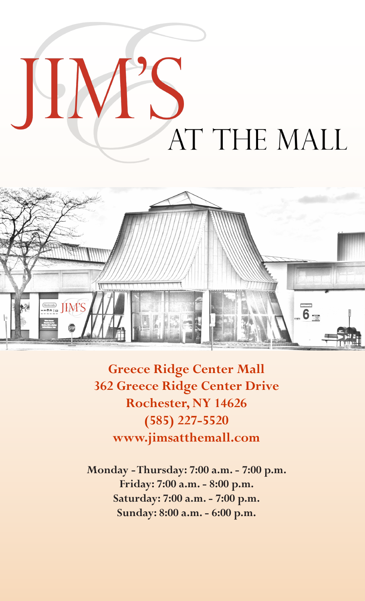



**Greece Ridge Center Mall 362 Greece Ridge Center Drive Rochester, NY 14626 (585) 227-5520 www.jimsatthemall.com**

**Monday - Thursday: 7:00 a.m. - 7:00 p.m. Friday: 7:00 a.m. - 8:00 p.m. Saturday: 7:00 a.m. - 7:00 p.m. Sunday: 8:00 a.m. - 6:00 p.m.**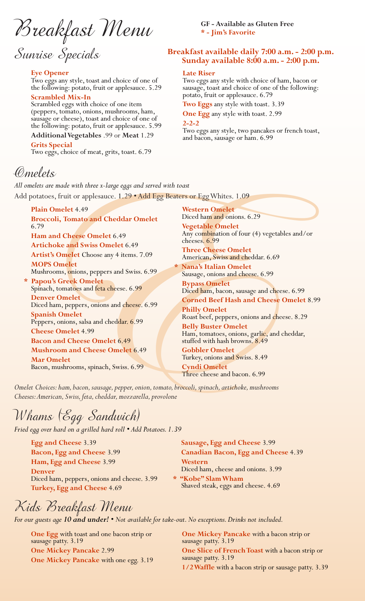Breakfast Menu

Sunrise Specials

# **Eye Opener**

Two eggs any style, toast and choice of one of the following: potato, fruit or applesauce. 5.29

**Scrambled Mix-In** Scrambled eggs with choice of one item (peppers, tomato, onions, mushrooms, ham, sausage or cheese), toast and choice of one of the following: potato, fruit or applesauce. 5.99

**Additional Vegetables** .99 or **Meat** 1.29 **Grits Special** Two eggs, choice of meat, grits, toast. 6.79

Omelets

*All omelets are made with three x-large eggs and served with toast* Add potatoes, fruit or applesauce. 1.29 • Add Egg Beaters or Egg Whites. 1.09 **Plain Omelet** 4.49 **Western Omelet**

**Broccoli, Tomato and Cheddar Omelet**  6.79

**Ham and Cheese Omelet** 6.49 **Artichoke and Swiss Omelet** 6.49 **Artist's Omelet** Choose any 4 items. 7.09 **MOPS Omelet**

Mushrooms, onions, peppers and Swiss. 6.99

**\* Papou's Greek Omelet** Spinach, tomatoes and feta cheese. 6.99 **Denver Omelet** Diced ham, peppers, onions and cheese. 6.99 **Spanish Omelet** Peppers, onions, salsa and cheddar. 6.99 **Cheese Omelet** 4.99 **Bacon and Cheese Omelet** 6.49 **Mushroom and Cheese Omelet** 6.49 **Mar Omelet**

Bacon, mushrooms, spinach, Swiss. 6.99

**GF - Available as Gluten Free \* - Jim's Favorite**

# **Breakfast available daily 7:00 a.m. - 2:00 p.m. Sunday available 8:00 a.m. - 2:00 p.m.**

## **Late Riser**

Two eggs any style with choice of ham, bacon or sausage, toast and choice of one of the following: potato, fruit or applesauce. 6.79

**Two Eggs** any style with toast. 3.39

**One Egg** any style with toast. 2.99 **2-2-2**

Two eggs any style, two pancakes or french toast, and bacon, sausage or ham. 6.99

*Melets,*<br>
omelets, are made with three x-large eggs and served with toast<br>
d potatocs, fruit or applesauce. 1.29 • Add Egg Beaters on Egg Whites. 1.99<br>
Pain Omelet + 49<br>
Frocoli, Tomato and Cheedar Omelet Direct ham and Diced ham and onions. 6.29 **Vegetable Omelet** Any combination of four (4) vegetables and/or cheeses. 6.99 **Three Cheese Omelet** American, Swiss and cheddar. 6.69 **\* Nana's Italian Omelet** Sausage, onions and cheese. 6.99 **Bypass Omelet** Diced ham, bacon, sausage and cheese. 6.99 **Corned Beef Hash and Cheese Omelet** 8.99 **Philly Omelet**

Roast beef, peppers, onions and cheese. 8.29 **Belly Buster Omelet**

Ham, tomatoes, onions, garlic, and cheddar, stuffed with hash browns. 8.49

**Gobbler Omelet** Turkey, onions and Swiss. 8.49

**Cyndi Omelet** Three cheese and bacon. 6.99

**Sausage, Egg and Cheese** 3.99

*Omelet Choices: ham, bacon, sausage, pepper, onion, tomato, broccoli, spinach, artichoke, mushrooms Cheeses: American, Swiss, feta, cheddar, mozzarella, provolone*

Whams (Egg Sandwich)

*Fried egg over hard on a grilled hard roll • Add Potatoes. 1.39*

**Egg and Cheese** 3.39 **Bacon, Egg and Cheese** 3.99 **Ham, Egg and Cheese** 3.99 **Denver** Diced ham, peppers, onions and cheese. 3.99 **Turkey, Egg and Cheese** 4.69

**Canadian Bacon, Egg and Cheese** 4.39 **Western** Diced ham, cheese and onions. 3.99 **\* "Kobe" Slam Wham** Shaved steak, eggs and cheese. 4.69

Kids Breakfast Menu

*For our guests age 10 and under! • Not available for take-out. No exceptions. Drinks not included.*

**One Egg** with toast and one bacon strip or sausage patty. 3.19 **One Mickey Pancake** 2.99 **One Mickey Pancake** with one egg. 3.19 **One Mickey Pancake** with a bacon strip or sausage patty. 3.19 **One Slice of French Toast** with a bacon strip or sausage patty. 3.19 **1/2 Waffle** with a bacon strip or sausage patty. 3.39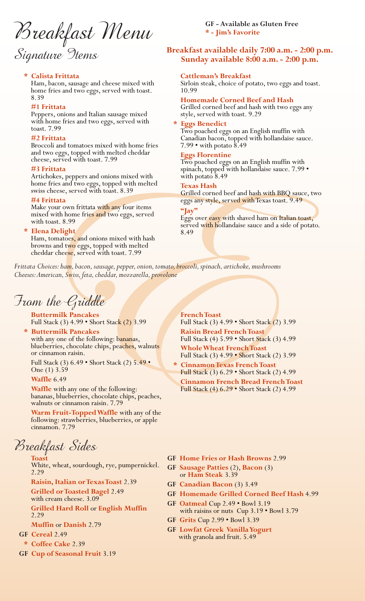Breakfast Menu

# Signature 9tems

# **\* Calista Frittata**

Ham, bacon, sausage and cheese mixed with home fries and two eggs, served with toast. 8.39

# **#1 Frittata**

Peppers, onions and Italian sausage mixed with home fries and two eggs, served with toast. 7.99

# **#2 Frittata**

Broccoli and tomatoes mixed with home fries and two eggs, topped with melted cheddar cheese, served with toast. 7.99

### **#3 Frittata**

Artichokes, peppers and onions mixed with home fries and two eggs, topped with melted swiss cheese, served with toast. 8.39

#### **#4 Frittata**

Make your own frittata with any four items mixed with home fries and two eggs, served with toast. 8.99

**Elena Delight**<br>Ham, tomatoes, and onions mixed with hash browns and two eggs, topped with melted cheddar cheese, served with toast. 7.99

**GF - Available as Gluten Free \* - Jim's Favorite**

# **Breakfast available daily 7:00 a.m. - 2:00 p.m. Sunday available 8:00 a.m. - 2:00 p.m.**

#### **Cattleman's Breakfast**

Sirloin steak, choice of potato, two eggs and toast. 10.99

#### **Homemade Corned Beef and Hash**

Grilled corned beef and hash with two eggs any style, served with toast. 9.29

**\* Eggs Benedict** Two poached eggs on an English muffin with Canadian bacon, topped with hollandaise sauce. 7.99 • with potato 8.49

## **Eggs Florentine**

Two poached eggs on an English muffin with spinach, topped with hollandaise sauce. 7.99 • with potato 8.49

#### **Texas Hash**

Grilled corned beef and hash with BBQ sauce, two eggs any style, served with Texas toast. 9.49

#### **"Jay"**

Eggs over easy with shaved ham on Italian toast, served with hollandaise sauce and a side of potato. 8.49

*Frittata Choices: ham, bacon, sausage, pepper, onion, tomato, broccoli, spinach, artichoke, mushrooms Cheeses: American, Swiss, feta, cheddar, mozzarella, provolone*

From the Griddle

**Buttermilk Pancakes** Full Stack (3) 4.99 • Short Stack (2) 3.99

**\* Buttermilk Pancakes** with any one of the following: bananas, blueberries, chocolate chips, peaches, walnuts or cinnamon raisin.

Full Stack (3) 6.49 • Short Stack (2) 5.49 • One (1) 3.59

**Waffle** 6.49

**Waffle** with any one of the following: bananas, blueberries, chocolate chips, peaches, walnuts or cinnamon raisin. 7.79

**Warm Fruit-Topped Waffle** with any of the following: strawberries, blueberries, or apple cinnamon. 7.79

Breakfast Sides **Toast**

White, wheat, sourdough, rye, pumpernickel. 2.29

**Raisin, Italian or Texas Toast** 2.39

**Grilled or Toasted Bagel** 2.49

with cream cheese. 3.09

**Grilled Hard Roll** or **English Muffin** 2.29

**Muffin** or **Danish** 2.79

- **GF Cereal** 2.49
- **\* Coffee Cake** 2.39
- **GF Cup of Seasonal Fruit** 3.19

# **French Toast**

**EVALUATION**<br>
As Frichals and onions mixed with a summation to the space of and health sections, propers and onions mixed with the points of the following<br>
that Fried and the section of the state of the state of the state Full Stack (3) 4.99 • Short Stack (2) 3.99 **Raisin Bread French Toast** Full Stack (4) 5.99 • Short Stack (3) 4.99 **Whole Wheat French Toast** Full Stack (3) 4.99 • Short Stack (2) 3.99

**\* Cinnamon Texas French Toast** Full Stack (3) 6.29 • Short Stack (2) 4.99 **Cinnamon French Bread French Toast**

Full Stack (4) 6.29 • Short Stack (2) 4.99

- **GF Home Fries or Hash Browns** 2.99
- **GF Sausage Patties** (2), **Bacon** (3) or **Ham Steak** 3.39
- **GF Canadian Bacon** (3) 3.49
- **GF Homemade Grilled Corned Beef Hash** 4.99
- **GF Oatmeal** Cup 2.49 Bowl 3.19 with raisins or nuts Cup 3.19 • Bowl 3.79
- **GF Grits** Cup 2.99 Bowl 3.39
- **GF Lowfat Greek Vanilla Yogurt** with granola and fruit. 5.49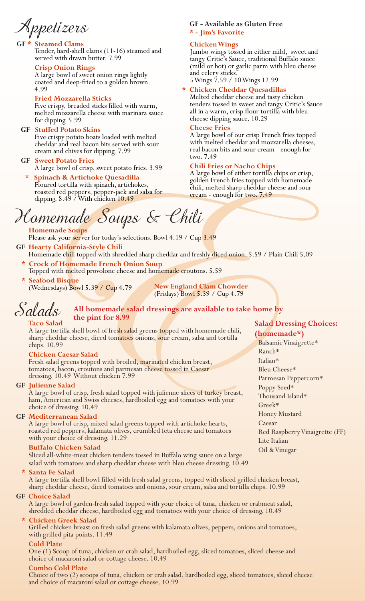Appetizers

# **Steamed Clams**

Tender, hard-shell clams (11-16) steamed and served with drawn butter. 7.99

# **Crisp Onion Rings**

A large bowl of sweet onion rings lightly coated and deep-fried to a golden brown. 4.99

# **Fried Mozzarella Sticks**

Five crispy, breaded sticks filled with warm, melted mozzarella cheese with marinara sauce for dipping. 5.99

# **GF Stuffed Potato Skins**

Five crispy potato boats loaded with melted cheddar and real bacon bits served with sour cream and chives for dipping. 7.99

# **GF Sweet Potato Fries**

A large bowl of crisp, sweet potato fries. 3.99

# **\* Spinach & Artichoke Quesadilla** Floured tortilla with spinach, artichokes, roasted red peppers, pepper-jack and salsa for dipping. 8.49 / With chicken 10.49

# **GF - Available as Gluten Free \* - Jim's Favorite**

# **Chicken Wings**

Jumbo wings tossed in either mild, sweet and tangy Critic's Sauce, traditional Buffalo sauce (mild or hot) or garlic parm with bleu cheese and celery sticks. 5 Wings 7.59 / 10 Wings 12.99

# **\* Chicken Cheddar Quesadillas**

Melted cheddar cheese and tasty chicken tenders tossed in sweet and tangy Critic's Sauce all in a warm, crisp flour tortilla with bleu cheese dipping sauce. 10.29

# **Cheese Fries**

A large bowl of our crisp French fries topped with melted cheddar and mozzarella cheeses, real bacon bits and sour cream - enough for two. 7.49

# **Chili Fries or Nacho Chips**

A large bowl of either tortilla chips or crisp, golden French fries topped with homemade chili, melted sharp cheddar cheese and sour cream - enough for two. 7.49

# Homemade Soups & Chili

Please ask your server for today's selections. Bowl 4.19 / Cup 3.49

- **GF Hearty California-Style Chili** Homemade chili topped with shredded sharp cheddar and freshly diced onion. 5.59 / Plain Chili 5.09
- **\* Crock of Homemade French Onion Soup**

Topped with melted provolone cheese and homemade croutons. 5.59 **Seafood Bisque** 

(Wednesdays) Bowl 5.39 / Cup 4.79

**New England Clam Chowder** (Fridays) Bowl 5.39 / Cup 4.79

# Salads **All homemade salad dressings are available to take home by the pint for 8.99 Salad Dressing Choices:**

# **Taco Salad**

A large tortilla shell bowl of fresh salad greens topped with homemade chili, sharp cheddar cheese, diced tomatoes onions, sour cream, salsa and tortilla chips. 10.99

# **Chicken Caesar Salad**

Fresh salad greens topped with broiled, marinated chicken breast, tomatoes, bacon, croutons and parmesan cheese tossed in Caesar dressing. 10.49 Without chicken 7.99

# **GF Julienne Salad**

A large bowl of crisp, fresh salad topped with julienne slices of turkey breast, ham, American and Swiss cheeses, hardboiled egg and tomatoes with your choice of dressing. 10.49

# **GF Mediterranean Salad**

A large bowl of crisp, mixed salad greens topped with artichoke hearts, roasted red peppers, kalamata olives, crumbled feta cheese and tomatoes with your choice of dressing. 11.29

# **Buffalo Chicken Salad**

Sliced all-white-meat chicken tenders tossed in Buffalo wing sauce on a large salad with tomatoes and sharp cheddar cheese with bleu cheese dressing. 10.49

# **\* Santa Fe Salad**

A large tortilla shell bowl filled with fresh salad greens, topped with sliced grilled chicken breast, sharp cheddar cheese, diced tomatoes and onions, sour cream, salsa and tortilla chips. 10.99

# **GF Choice Salad**

A large bowl of garden-fresh salad topped with your choice of tuna, chicken or crabmeat salad, shredded cheddar cheese, hardboiled egg and tomatoes with your choice of dressing. 10.49

# **\* Chicken Greek Salad**

Grilled chicken breast on fresh salad greens with kalamata olives, peppers, onions and tomatoes, with grilled pita points. 11.49

# **Cold Plate**

One (1) Scoop of tuna, chicken or crab salad, hardboiled egg, sliced tomatoes, sliced cheese and choice of macaroni salad or cottage cheese. 10.49

# **Combo Cold Plate**

Choice of two (2) scoops of tuna, chicken or crab salad, hardboiled egg, sliced tomatoes, sliced cheese and choice of macaroni salad or cottage cheese. 10.99

# **(homemade\*)**

Fractrice burston transformation of the control of the search Chain Chain and the same of National control of Artichology (and The Sphere Teach and the same of the control of the same displane and oping 8.45 / With chicke Balsamic Vinaigrette\* Ranch\* Italian\* Bleu Cheese\* Parmesan Peppercorn\* Poppy Seed\* Thousand Island\* Greek\* Honey Mustard Caesar Red Raspberry Vinaigrette (FF) Lite Italian Oil & Vinegar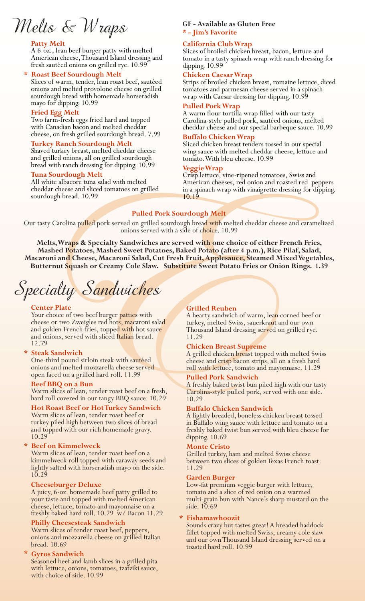Melts & Wraps

# **Patty Melt**

A 6-oz., lean beef burger patty with melted American cheese, Thousand Island dressing and fresh sautéed onions on grilled rye. 10.99

**\* Roast Beef Sourdough Melt** Slices of warm, tender, lean roast beef, sautéed onions and melted provolone cheese on grilled sourdough bread with homemade horseradish mayo for dipping. 10.99

# **Fried Egg Melt**

Two farm-fresh eggs fried hard and topped with Canadian bacon and melted cheddar cheese, on fresh grilled sourdough bread. 7.99

# **Turkey Ranch Sourdough Melt**

Shaved turkey breast, melted cheddar cheese and grilled onions, all on grilled sourdough bread with ranch dressing for dipping. 10.99

#### **Tuna Sourdough Melt**

All white albacore tuna salad with melted cheddar cheese and sliced tomatoes on grilled sourdough bread. 10.99

# **GF - Available as Gluten Free \* - Jim's Favorite**

# **California Club Wrap**

Slices of broiled chicken breast, bacon, lettuce and tomato in a tasty spinach wrap with ranch dressing for dipping. 10.99

## **Chicken Caesar Wrap**

Strips of broiled chicken breast, romaine lettuce, diced tomatoes and parmesan cheese served in a spinach wrap with Caesar dressing for dipping. 10.99

## **Pulled Pork Wrap**

A warm flour tortilla wrap filled with our tasty Carolina-style pulled pork, sautéed onions, melted cheddar cheese and our special barbeque sauce. 10.99

## **Buffalo Chicken Wrap**

Sliced chicken breast tenders tossed in our special wing sauce with melted cheddar cheese, lettuce and tomato. With bleu cheese. 10.99

# **Veggie Wrap**

Crisp lettuce, vine-ripened tomatoes, Swiss and American cheeses, red onion and roasted red peppers in a spinach wrap with vinaigrette dressing for dipping. 10.19

# **Pulled Pork Sourdough Melt**

Our tasty Carolina pulled pork served on grilled sourdough bread with melted cheddar cheese and caramelized onions served with a side of choice. 10.99

braad with anche dressing for displayer and the mediator and sourching in the source of the shape of the shape of the shape of the shape of the shape of the shape of the shape of the shape of the shape of the shape of the **Melts, Wraps & Specialty Sandwiches are served with one choice of either French Fries, Mashed Potatoes, Mashed Sweet Potatoes, Baked Potato (after 4 p.m.), Rice Pilaf, Salad, Macaroni and Cheese, Macaroni Salad, Cut Fresh Fruit, Applesauce, Steamed Mixed Vegetables, Butternut Squash or Creamy Cole Slaw. Substitute Sweet Potato Fries or Onion Rings. 1.39**

Specialty Sandwiches

#### **Center Plate**

Your choice of two beef burger patties with cheese or two Zweigles red hots, macaroni salad and golden French fries, topped with hot sauce and onions, served with sliced Italian bread. 12.79

#### **Steak Sandwich**

One-third pound sirloin steak with sautéed onions and melted mozzarella cheese served open faced on a grilled hard roll. 11.99

#### **Beef BBQ on a Bun**

Warm slices of lean, tender roast beef on a fresh, hard roll covered in our tangy BBQ sauce. 10.29

# **Hot Roast Beef or Hot Turkey Sandwich**

Warm slices of lean, tender roast beef or turkey piled high between two slices of bread and topped with our rich homemade gravy. 10.29

#### **\* Beef on Kimmelweck**

Warm slices of lean, tender roast beef on a kimmelweck roll topped with caraway seeds and lightly salted with horseradish mayo on the side. 10.29

# **Cheeseburger Deluxe**

A juicy, 6-oz. homemade beef patty grilled to your taste and topped with melted American cheese, lettuce, tomato and mayonnaise on a freshly baked hard roll. 10.29 w/ Bacon 11.29

# **Philly Cheesesteak Sandwich**

Warm slices of tender roast beef, peppers, onions and mozzarella cheese on grilled Italian bread. 10.69

#### **\* Gyros Sandwich**

Seasoned beef and lamb slices in a grilled pita with lettuce, onions, tomatoes, tzatziki sauce, with choice of side. 10.99

# **Grilled Reuben**

A hearty sandwich of warm, lean corned beef or turkey, melted Swiss, sauerkraut and our own Thousand Island dressing served on grilled rye. 11.29

# **Chicken Breast Supreme**

A grilled chicken breast topped with melted Swiss cheese and crisp bacon strips, all on a fresh hard roll with lettuce, tomato and mayonnaise. 11.29

#### **Pulled Pork Sandwich**

A freshly baked twist bun piled high with our tasty Carolina-style pulled pork, served with one side. 10.29

## **Buffalo Chicken Sandwich**

A lightly breaded, boneless chicken breast tossed in Buffalo wing sauce with lettuce and tomato on a freshly baked twist bun served with bleu cheese for dipping. 10.69

#### **Monte Cristo**

Grilled turkey, ham and melted Swiss cheese between two slices of golden Texas French toast. 11.29

#### **Garden Burger**

Low-fat premium veggie burger with lettuce, tomato and a slice of red onion on a warmed multi-grain bun with Nance's sharp mustard on the side. 10.69

# **\* Fishamawhoozit**

Sounds crazy but tastes great! A breaded haddock fillet topped with melted Swiss, creamy cole slaw and our own Thousand Island dressing served on a toasted hard roll. 10.99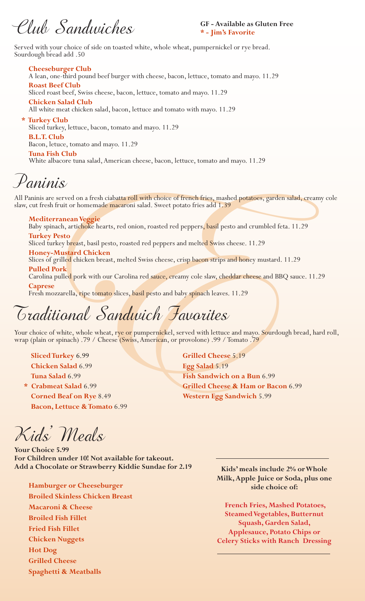Club Sandwiches

**GF - Available as Gluten Free \* - Jim's Favorite**

Served with your choice of side on toasted white, whole wheat, pumpernickel or rye bread. Sourdough bread add .50

**Cheeseburger Club**

A lean, one-third pound beef burger with cheese, bacon, lettuce, tomato and mayo. 11.29 **Roast Beef Club**

Sliced roast beef, Swiss cheese, bacon, lettuce, tomato and mayo. 11.29

**Chicken Salad Club** All white meat chicken salad, bacon, lettuce and tomato with mayo. 11.29

**\* Turkey Club** Sliced turkey, lettuce, bacon, tomato and mayo. 11.29 **B.L.T. Club**

Bacon, letuce, tomato and mayo. 11.29

**Tuna Fish Club**

White albacore tuna salad, American cheese, bacon, lettuce, tomato and mayo. 11.29

Paninis

All Paninis are served on a fresh ciabatta roll with choice of french fries, mashed potatoes, garden salad, creamy cole slaw, cut fresh fruit or homemade macaroni salad. Sweet potato fries add 1.39

# **Mediterranean Veggie**

Baby spinach, artichoke hearts, red onion, roasted red peppers, basil pesto and crumbled feta. 11.29

# **Turkey Pesto**

Sliced turkey breast, basil pesto, roasted red peppers and melted Swiss cheese. 11.29

# **Honey-Mustard Chicken**

Slices of grilled chicken breast, melted Swiss cheese, crisp bacon strips and honey mustard. 11.29

**Pulled Pork**

Carolina pulled pork with our Carolina red sauce, creamy cole slaw, cheddar cheese and BBQ sauce. 11.29 **Caprese**

Fresh mozzarella, ripe tomato slices, basil pesto and baby spinach leaves. 11.29

# Traditional Sandwich Favorites

Your choice of white, whole wheat, rye or pumpernickel, served with lettuce and mayo. Sourdough bread, hard roll, wrap (plain or spinach) .79 / Cheese (Swiss, American, or provolone) .99 / Tomato .79

**Sliced Turkey** 6.99 **Chicken Salad** 6.99 **Tuna Salad** 6.99

**\* Crabmeat Salad** 6.99 **Corned Beaf on Rye** 8.49 **Bacon, Lettuce & Tomato** 6.99

From a state of the state of the state of the state of the state of the state of the state of the state of the state of the state of the state of the state of the state of the state of the state of the state of the state **Grilled Cheese** 5.19 **Egg Salad** 5.19 **Fish Sandwich on a Bun** 6.99 **Grilled Cheese & Ham or Bacon** 6.99 **Western Egg Sandwich** 5.99

Kids' Meals

**Your Choice 5.99 For Children under 10! Not available for takeout. Add a Chocolate or Strawberry Kiddie Sundae for 2.19**

**Hamburger or Cheeseburger Broiled Skinless Chicken Breast Macaroni & Cheese Broiled Fish Fillet Fried Fish Fillet Chicken Nuggets Hot Dog Grilled Cheese**

**Spaghetti & Meatballs**

**Kids' meals include 2% or Whole Milk, Apple Juice or Soda, plus one side choice of:**

 **French Fries, Mashed Potatoes, Steamed Vegetables, Butternut Squash, Garden Salad, Applesauce, Potato Chips or Celery Sticks with Ranch Dressing**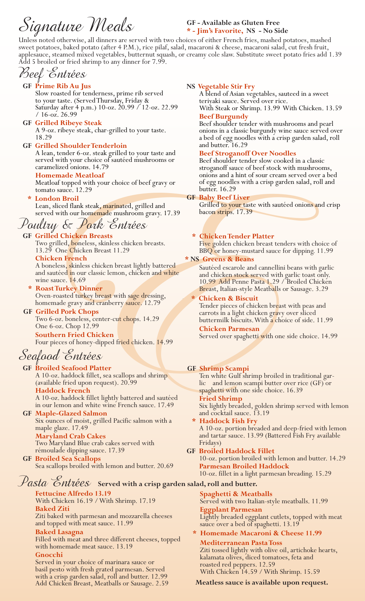Signature Meals

# **GF - Available as Gluten Free \* - Jim's Favorite, NS - No Side**

Unless noted otherwise, all dinners are served with two choices of either French fries, mashed potatoes, mashed sweet potatoes, baked potato (after 4 P.M.), rice pilaf, salad, macaroni & cheese, macaroni salad, cut fresh fruit, applesauce, steamed mixed vegetables, butternut squash, or creamy cole slaw. Substitute sweet potato fries add 1.39 Add 5 broiled or fried shrimp to any dinner for 7.99.

| Beef Entrées                                                                                                                                                                                                                                                                                                                                                                                                                                                                                                                                                                                                                                                                                                                                            |                                                                                                                                                                                                                                                                                                                                                                                                                                                                                                                                                                                                                                                                                                                                                                        |
|---------------------------------------------------------------------------------------------------------------------------------------------------------------------------------------------------------------------------------------------------------------------------------------------------------------------------------------------------------------------------------------------------------------------------------------------------------------------------------------------------------------------------------------------------------------------------------------------------------------------------------------------------------------------------------------------------------------------------------------------------------|------------------------------------------------------------------------------------------------------------------------------------------------------------------------------------------------------------------------------------------------------------------------------------------------------------------------------------------------------------------------------------------------------------------------------------------------------------------------------------------------------------------------------------------------------------------------------------------------------------------------------------------------------------------------------------------------------------------------------------------------------------------------|
| <b>GF Prime Rib Au Jus</b><br>Slow roasted for tenderness, prime rib served<br>to your taste. (Served Thursday, Friday &<br>Saturday after 4 p.m.) 10-oz. 20.99 / 12-oz. 22.99<br>$/16$ -oz. 26.99<br><b>GF Grilled Ribeye Steak</b><br>A 9-oz. ribeye steak, char-grilled to your taste.<br>18.29<br><b>GF</b> Grilled Shoulder Tenderloin<br>A lean, tender 6-oz. steak grilled to your taste and<br>served with your choice of sautéed mushrooms or<br>caramelized onions. 14.79<br><b>Homemade Meatloaf</b><br>Meatloaf topped with your choice of beef gravy or<br>tomato sauce. 12.29<br><b>London Broil</b><br>*<br>Lean, sliced flank steak, marinated, grilled and<br>served with our homemade mushroom gravy. 17.39<br>Poultry & Park Entrées | <b>NS Vegetable Stir Fry</b><br>A blend of Asian vegetables, sauteed in a sweet<br>teriyaki sauce. Served over rice.<br>With Steak or Shrimp. 13.99 With Chicken. 13.59<br><b>Beef Burgundy</b><br>Beef shoulder tender with mushrooms and pearl<br>onions in a classic burgundy wine sauce served over<br>a bed of egg noodles with a crisp garden salad, roll<br>and butter. 16.29<br><b>Beef Stroganoff Over Noodles</b><br>Beef shoulder tender slow cooked in a classic<br>strogan off sauce of beef stock with mushrooms,<br>onions and a hint of sour cream served over a bed<br>of egg noodles with a crisp garden salad, roll and<br>butter. 16.29<br><b>GF Baby Beef Liver</b><br>Grilled to your taste with sautéed onions and crisp<br>bacon strips. 17.39 |
| <b>GF Grilled Chicken Breasts</b>                                                                                                                                                                                                                                                                                                                                                                                                                                                                                                                                                                                                                                                                                                                       | * Chicken Tender Platter                                                                                                                                                                                                                                                                                                                                                                                                                                                                                                                                                                                                                                                                                                                                               |
| Two grilled, boneless, skinless chicken breasts.<br>13.29 One Chicken Breast 11.29<br><b>Chicken French</b>                                                                                                                                                                                                                                                                                                                                                                                                                                                                                                                                                                                                                                             | Five golden chicken breast tenders with choice of<br>BBQ or honey-mustard sauce for dipping. 11.99<br>* NS Greens & Beans                                                                                                                                                                                                                                                                                                                                                                                                                                                                                                                                                                                                                                              |
| A boneless, skinless chicken breast lightly battered<br>and sautéed in our classic lemon, chicken and white                                                                                                                                                                                                                                                                                                                                                                                                                                                                                                                                                                                                                                             | Sautéed escarole and cannellini beans with garlic                                                                                                                                                                                                                                                                                                                                                                                                                                                                                                                                                                                                                                                                                                                      |
| wine sauce. 14.69                                                                                                                                                                                                                                                                                                                                                                                                                                                                                                                                                                                                                                                                                                                                       | and chicken stock served with garlic toast only.<br>10.99 Add Penne Pasta 1.29 / Broiled Chicken                                                                                                                                                                                                                                                                                                                                                                                                                                                                                                                                                                                                                                                                       |
| * Roast Turkey Dinner                                                                                                                                                                                                                                                                                                                                                                                                                                                                                                                                                                                                                                                                                                                                   | Breast, Italian-style Meatballs or Sausage. 3.29                                                                                                                                                                                                                                                                                                                                                                                                                                                                                                                                                                                                                                                                                                                       |
| Oven-roasted turkey breast with sage dressing,<br>homemade gravy and cranberry sauce. 12.79                                                                                                                                                                                                                                                                                                                                                                                                                                                                                                                                                                                                                                                             | <b>Chicken &amp; Biscuit</b><br>$\mathbf{x}$                                                                                                                                                                                                                                                                                                                                                                                                                                                                                                                                                                                                                                                                                                                           |
| <b>GF Grilled Pork Chops</b>                                                                                                                                                                                                                                                                                                                                                                                                                                                                                                                                                                                                                                                                                                                            | Tender pieces of chicken breast with peas and<br>carrots in a light chicken gravy over sliced                                                                                                                                                                                                                                                                                                                                                                                                                                                                                                                                                                                                                                                                          |
| Two 6-oz. boneless, center-cut chops. 14.29                                                                                                                                                                                                                                                                                                                                                                                                                                                                                                                                                                                                                                                                                                             | buttermilk biscuits. With a choice of side. 11.99                                                                                                                                                                                                                                                                                                                                                                                                                                                                                                                                                                                                                                                                                                                      |
| One 6-oz. Chop 12.99<br><b>Southern Fried Chicken</b><br>Four pieces of honey-dipped fried chicken. 14.99                                                                                                                                                                                                                                                                                                                                                                                                                                                                                                                                                                                                                                               | <b>Chicken Parmesan</b><br>Served over spaghetti with one side choice. 14.99                                                                                                                                                                                                                                                                                                                                                                                                                                                                                                                                                                                                                                                                                           |
| Seafood Entrées                                                                                                                                                                                                                                                                                                                                                                                                                                                                                                                                                                                                                                                                                                                                         |                                                                                                                                                                                                                                                                                                                                                                                                                                                                                                                                                                                                                                                                                                                                                                        |
| <b>GF Broiled Seafood Platter</b>                                                                                                                                                                                                                                                                                                                                                                                                                                                                                                                                                                                                                                                                                                                       | <b>GF Shrimp Scampi</b>                                                                                                                                                                                                                                                                                                                                                                                                                                                                                                                                                                                                                                                                                                                                                |
| A 10-oz. haddock fillet, sea scallops and shrimp                                                                                                                                                                                                                                                                                                                                                                                                                                                                                                                                                                                                                                                                                                        | Ten white Gulf shrimp broiled in traditional gar-                                                                                                                                                                                                                                                                                                                                                                                                                                                                                                                                                                                                                                                                                                                      |
| (available fried upon request). 20.99                                                                                                                                                                                                                                                                                                                                                                                                                                                                                                                                                                                                                                                                                                                   | lic and lemon scampi butter over rice (GF) or                                                                                                                                                                                                                                                                                                                                                                                                                                                                                                                                                                                                                                                                                                                          |
| <b>Haddock French</b><br>A 10-oz. haddock fillet lightly battered and sautéed                                                                                                                                                                                                                                                                                                                                                                                                                                                                                                                                                                                                                                                                           | spaghetti with one side choice. 16.39<br><b>Fried Shrimp</b>                                                                                                                                                                                                                                                                                                                                                                                                                                                                                                                                                                                                                                                                                                           |
| in our lemon and white wine French sauce. 17.49                                                                                                                                                                                                                                                                                                                                                                                                                                                                                                                                                                                                                                                                                                         | Six lightly breaded, golden shrimp served with lemon                                                                                                                                                                                                                                                                                                                                                                                                                                                                                                                                                                                                                                                                                                                   |
| <b>GF</b> Maple-Glazed Salmon<br>Six ounces of moist, grilled Pacific salmon with a                                                                                                                                                                                                                                                                                                                                                                                                                                                                                                                                                                                                                                                                     | and cocktail sauce. 13.19                                                                                                                                                                                                                                                                                                                                                                                                                                                                                                                                                                                                                                                                                                                                              |
| maple glaze. 17.49                                                                                                                                                                                                                                                                                                                                                                                                                                                                                                                                                                                                                                                                                                                                      | * Haddock Fish Fry<br>A 10-oz. portion breaded and deep-fried with lemon                                                                                                                                                                                                                                                                                                                                                                                                                                                                                                                                                                                                                                                                                               |
| <b>Maryland Crab Cakes</b>                                                                                                                                                                                                                                                                                                                                                                                                                                                                                                                                                                                                                                                                                                                              | and tartar sauce. 13.99 (Battered Fish Fry available                                                                                                                                                                                                                                                                                                                                                                                                                                                                                                                                                                                                                                                                                                                   |
| Two Maryland Blue crab cakes served with<br>rémoulade dipping sauce. 17.39                                                                                                                                                                                                                                                                                                                                                                                                                                                                                                                                                                                                                                                                              | Fridays)<br><b>GF Broiled Haddock Fillet</b>                                                                                                                                                                                                                                                                                                                                                                                                                                                                                                                                                                                                                                                                                                                           |
| <b>GF Broiled Sea Scallops</b>                                                                                                                                                                                                                                                                                                                                                                                                                                                                                                                                                                                                                                                                                                                          | 10-oz. portion broiled with lemon and butter. 14.29                                                                                                                                                                                                                                                                                                                                                                                                                                                                                                                                                                                                                                                                                                                    |
| Sea scallops broiled with lemon and butter. 20.69                                                                                                                                                                                                                                                                                                                                                                                                                                                                                                                                                                                                                                                                                                       | <b>Parmesan Broiled Haddock</b>                                                                                                                                                                                                                                                                                                                                                                                                                                                                                                                                                                                                                                                                                                                                        |
| 10-oz. fillet in a light parmesan breading. 15.29<br>Pasta Entrées Served with a crisp garden salad, roll and butter.                                                                                                                                                                                                                                                                                                                                                                                                                                                                                                                                                                                                                                   |                                                                                                                                                                                                                                                                                                                                                                                                                                                                                                                                                                                                                                                                                                                                                                        |
| <b>Fettucine Alfredo 13.19</b>                                                                                                                                                                                                                                                                                                                                                                                                                                                                                                                                                                                                                                                                                                                          | Spaghetti & Meatballs                                                                                                                                                                                                                                                                                                                                                                                                                                                                                                                                                                                                                                                                                                                                                  |
| With Chicken 16.19 / With Shrimp. 17.19                                                                                                                                                                                                                                                                                                                                                                                                                                                                                                                                                                                                                                                                                                                 | Served with two Italian-style meatballs. 11.99                                                                                                                                                                                                                                                                                                                                                                                                                                                                                                                                                                                                                                                                                                                         |
| <b>Baked Ziti</b>                                                                                                                                                                                                                                                                                                                                                                                                                                                                                                                                                                                                                                                                                                                                       | <b>Eggplant Parmesan</b>                                                                                                                                                                                                                                                                                                                                                                                                                                                                                                                                                                                                                                                                                                                                               |
| Ziti baked with parmesan and mozzarella cheeses<br>and topped with meat sauce. 11.99                                                                                                                                                                                                                                                                                                                                                                                                                                                                                                                                                                                                                                                                    | Lightly breaded eggplant cutlets, topped with meat<br>sauce over a bed of spaghetti. 13.19                                                                                                                                                                                                                                                                                                                                                                                                                                                                                                                                                                                                                                                                             |
| <b>Baked Lasagna</b>                                                                                                                                                                                                                                                                                                                                                                                                                                                                                                                                                                                                                                                                                                                                    | * Homemade Macaroni & Cheese 11.99                                                                                                                                                                                                                                                                                                                                                                                                                                                                                                                                                                                                                                                                                                                                     |

Filled with meat and three different cheeses, topped with homemade meat sauce. 13.19

# **Gnocchi**

Served in your choice of marinara sauce or basil pesto with fresh grated parmesan. Served with a crisp garden salad, roll and butter. 12.99 Add Chicken Breast, Meatballs or Sausage. 2.59

With Chicken 14.59 / With Shrimp. 15.59 **Meatless sauce is available upon request.**

kalamata olives, diced tomatoes, feta and

Ziti tossed lightly with olive oil, artichoke hearts,

**Mediterranean Pasta Toss**

roasted red peppers. 12.59